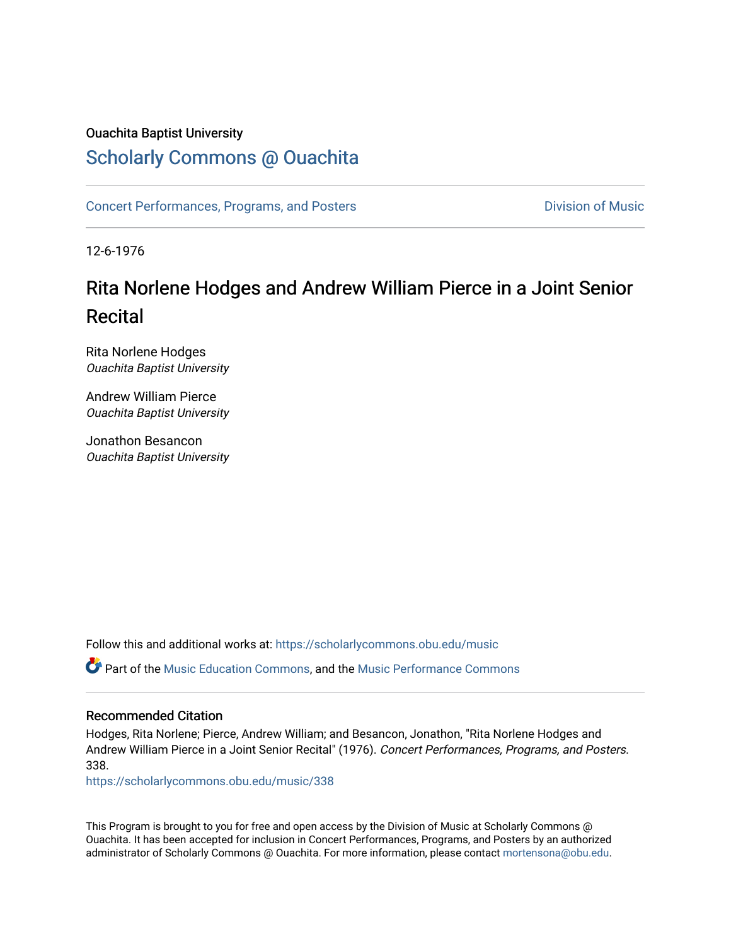# Ouachita Baptist University

# [Scholarly Commons @ Ouachita](https://scholarlycommons.obu.edu/)

[Concert Performances, Programs, and Posters](https://scholarlycommons.obu.edu/music) **Division of Music** Division of Music

12-6-1976

# Rita Norlene Hodges and Andrew William Pierce in a Joint Senior Recital

Rita Norlene Hodges Ouachita Baptist University

Andrew William Pierce Ouachita Baptist University

Jonathon Besancon Ouachita Baptist University

Follow this and additional works at: [https://scholarlycommons.obu.edu/music](https://scholarlycommons.obu.edu/music?utm_source=scholarlycommons.obu.edu%2Fmusic%2F338&utm_medium=PDF&utm_campaign=PDFCoverPages) 

Part of the [Music Education Commons,](http://network.bepress.com/hgg/discipline/1246?utm_source=scholarlycommons.obu.edu%2Fmusic%2F338&utm_medium=PDF&utm_campaign=PDFCoverPages) and the [Music Performance Commons](http://network.bepress.com/hgg/discipline/1128?utm_source=scholarlycommons.obu.edu%2Fmusic%2F338&utm_medium=PDF&utm_campaign=PDFCoverPages) 

#### Recommended Citation

Hodges, Rita Norlene; Pierce, Andrew William; and Besancon, Jonathon, "Rita Norlene Hodges and Andrew William Pierce in a Joint Senior Recital" (1976). Concert Performances, Programs, and Posters. 338.

[https://scholarlycommons.obu.edu/music/338](https://scholarlycommons.obu.edu/music/338?utm_source=scholarlycommons.obu.edu%2Fmusic%2F338&utm_medium=PDF&utm_campaign=PDFCoverPages) 

This Program is brought to you for free and open access by the Division of Music at Scholarly Commons @ Ouachita. It has been accepted for inclusion in Concert Performances, Programs, and Posters by an authorized administrator of Scholarly Commons @ Ouachita. For more information, please contact [mortensona@obu.edu](mailto:mortensona@obu.edu).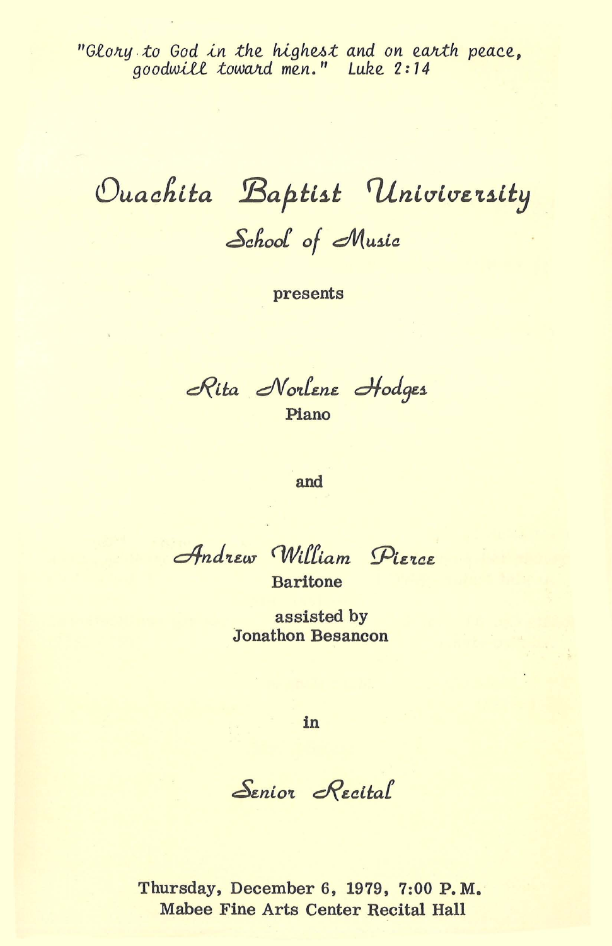"Glory to God in the highest and on earth peace,<br>goodwill toward men." Luke 2:14

Ouachita Baptist Univiversity School of Music

presents

Rita Norlene Hodges Piano

and

Andrew William Pierce

**Baritone** 

assisted by **Jonathon Besancon** 

in

Senior Recital

Thursday, December 6, 1979, 7:00 P.M. Mabee Fine Arts Center Recital Hall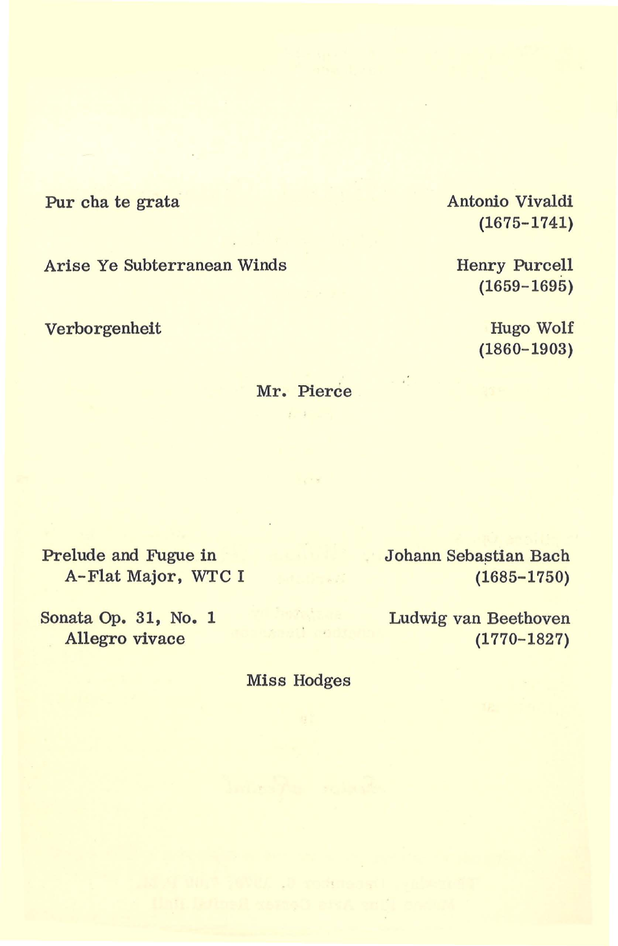Pur cha te grata

Arise Ye Subterranean Winds

Verborgenheit

Antonio Vivaldi (1675-1741)

Henry Purcell (1659-1695)

> Hugo Wolf (1860-1903)

Mr. Pierce  $1.1$ 

Prelude and Fugue in A-Flat Major, WTC I

Sonata Op. 31, No. 1 Allegro vivace

Johann Sebastian Bach (1685-1750)

Ludwig van Beethoven (1770-1827)

Miss Hodges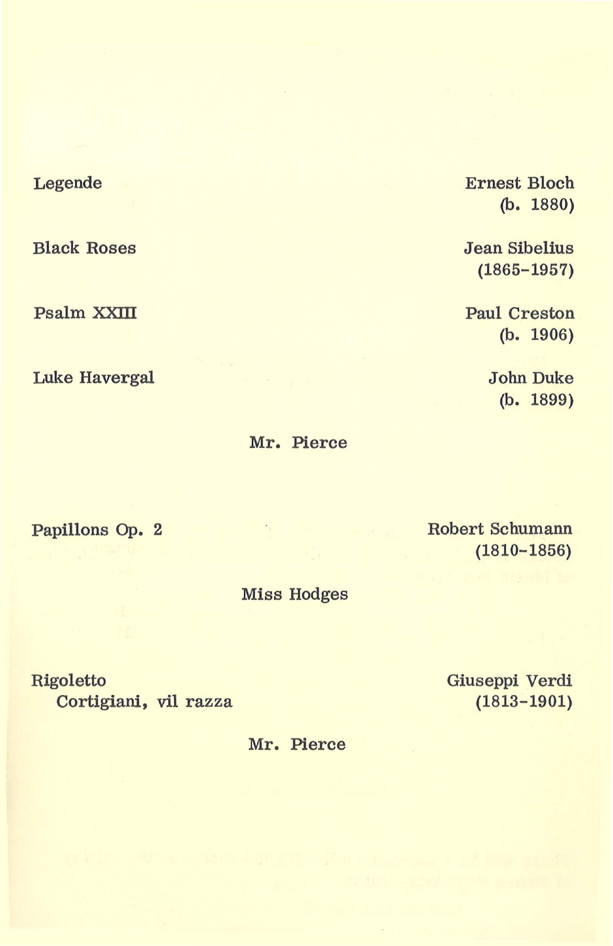## Legende

Black Roses

Psalm XXIII

Luke Havergal

Ernest Bloch (b. 1880)

Jean Sibelius (1865-1957)

Paul Creston (b. 1906)

> John Duke (b. 1899)

Mr. Pierce

Papillons Op. 2

Robert Schumann (1810-1856)

Miss Hodges

Rigoletto Cortigiani, vil razza Giuseppi Verdi (1813-1901)

Mr. Pierce